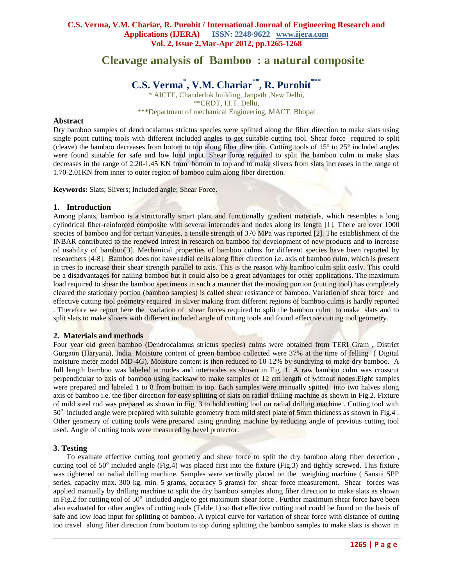# **Cleavage analysis of Bamboo : a natural composite**

# **C.S. Verma\* , V.M. Chariar\*\*, R. Purohit\*\*\***

\* AICTE, Chanderlok building, Janpath ,New Delhi, \*\*CRDT, I.I.T. Delhi, \*\*\*Department of mechanical Engineering, MACT, Bhopal

### **Abstract**

Dry bamboo samples of dendrocalamus strictus species were splitted along the fiber direction to make slats using single point cutting tools with different included angles to get suitable cutting tool. Shear force required to split (cleave) the bamboo decreases from botom to top along fiber direction. Cutting tools of 15° to 25° included angles were found suitable for safe and low load input. Shear force required to split the bamboo culm to make slats decreases in the range of 2.20-1.45 KN from bottom to top and to make slivers from slats increases in the range of 1.70-2.01KN from inner to outer region of bamboo culm along fiber direction.

**Keywords:** Slats; Slivers; Included angle; Shear Force.

#### **1. Introduction**

Among plants, bamboo is a structurally smart plant and functionally gradient materials, which resembles a long cylindrical fiber-reinforced composite with several internodes and nodes along its length [1]. There are over 1000 species of bamboo and for certain varieties, a tensile strength of 370 MPa was reported [2]. The establishment of the INBAR contributed to the renewed intrest in research on bamboo for development of new products and to increase of usability of bamboo[3]. Mechanical properties of bamboo culms for different species have been reported by researchers [4-8]. Bamboo does not have radial cells along fiber direction i.e. axis of bamboo culm, which is present in trees to increase their shear strength parallel to axis. This is the reason why bamboo culm split easly. This could be a disadvantages for nailing bamboo but it could also be a great advantages for other applications. The maximum load required to shear the bamboo specimens in such a manner that the moving portion (cutting tool) has completely cleared the stationary portion (bamboo samples) is called shear resistance of bamboo. Variation of shear force and effective cutting tool geometry required in sliver making from different regions of bamboo culms is hardly reported . Therefore we report here the variation of shear forces required to split the bamboo culm to make slats and to split slats to make slivers with different included angle of cutting tools and found effective cutting tool geometry.

## **2. Materials and methods**

Four year old green bamboo (Dendrocalamus strictus species) culms were obtained from TERI Gram , District Gurgaon (Haryana), India. Moisture content of green bamboo collected were 37% at the time of felling ( Digital moisture meter model MD-4G). Moisture content is then reduced to 10-12% by sundrying to make dry bamboo. A full length bamboo was labeled at nodes and internodes as shown in Fig. 1. A raw bamboo culm was crosscut perpendicular to axis of bamboo using hacksaw to make samples of 12 cm length of without nodes.Eight samples were prepared and labeled 1 to 8 from bottom to top. Each samples were manually spitted into two halves along axis of bamboo i.e. the fiber direction for easy splitting of slats on radial drilling machine as shown in Fig.2. Fixture of mild steel rod was prepared as shown in Fig. 3 to hold cutting tool on radial drilling machine . Cutting tool with 50<sup>°</sup> included angle were prepared with suitable geometry from mild steel plate of 5mm thickness as shown in Fig.4. Other geometry of cutting tools were prepared using grinding machine by reducing angle of previous cutting tool used. Angle of cutting tools were measured by bevel protector.

#### **3. Testing**

To evaluate effective cutting tool geometry and shear force to split the dry bamboo along fiber derection , cutting tool of  $50^\circ$  included angle (Fig.4) was placed first into the fixture (Fig.3) and tightly screwed. This fixture was tightened on radial drilling machine. Samples were vertically placed on the weighing machine ( Sansui SPP series, capacity max. 300 kg, min. 5 grams, accuracy 5 grams) for shear force measurement. Shear forces was applied manually by drilling machine to split the dry bamboo samples along fiber direction to make slats as shown in Fig.2 for cutting tool of  $50^{\circ}$  included angle to get maximum shear force. Further maximum shear force have been also evaluated for other angles of cutting tools (Table 1) so that effective cutting tool could be found on the basis of safe and low load input for splitting of bamboo. A typical curve for variation of shear force with distance of cutting too travel along fiber direction from bootom to top during splitting the bamboo samples to make slats is shown in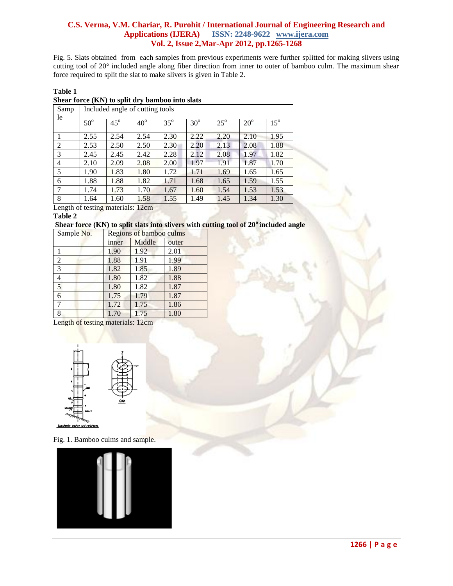# **C.S. Verma, V.M. Chariar, R. Purohit / International Journal of Engineering Research and Applications (IJERA) ISSN: 2248-9622 www.ijera.com Vol. 2, Issue 2,Mar-Apr 2012, pp.1265-1268**

Fig. 5. Slats obtained from each samples from previous experiments were further splitted for making slivers using cutting tool of 20° included angle along fiber direction from inner to outer of bamboo culm. The maximum shear force required to split the slat to make slivers is given in Table 2.

# **Table 1**

# **Shear force (KN) to split dry bamboo into slats**

| Samp           | Included angle of cutting tools |                                                                         |                     |            |            |            |              |              |  |
|----------------|---------------------------------|-------------------------------------------------------------------------|---------------------|------------|------------|------------|--------------|--------------|--|
| le             | $50^\circ$                      | $45^\circ$                                                              | $40^\circ$          | $35^\circ$ | $30^\circ$ | $25^\circ$ | $20^{\circ}$ | $15^{\circ}$ |  |
|                | 2.55                            | 2.54                                                                    | 2.54                | 2.30       | 2.22       | 2.20       | 2.10         | 1.95         |  |
| 2              | 2.53                            | 2.50                                                                    | 2.50                | 2.30       | 2.20       | 2.13       | 2.08         | 1.88         |  |
| 3              | 2.45                            | 2.45                                                                    | 2.42                | 2.28       | 2.12       | 2.08       | 1.97         | 1.82         |  |
| $\overline{4}$ | 2.10                            | 2.09                                                                    | 2.08                | 2.00       | 1.97       | 1.91       | 1.87         | 1.70         |  |
| 5              | 1.90                            | 1.83                                                                    | 1.80                | 1.72       | 1.71       | 1.69       | 1.65         | 1.65         |  |
| 6              | 1.88                            | 1.88                                                                    | 1.82                | 1.71       | 1.68       | 1.65       | 1.59         | 1.55         |  |
| 7              | 1.74                            | 1.73                                                                    | 1.70                | 1.67       | 1.60       | 1.54       | 1.53         | 1.53         |  |
| 8              | 1.64                            | 1.60<br>$\mathbf{r}$ and $\mathbf{r}$ and $\mathbf{r}$ and $\mathbf{r}$ | 1.58<br>$1^{\circ}$ | 1.55       | 1.49       | 1.45       | 1.34         | 1.30         |  |

Length of testing materials: 12cm

**Table 2**

# **Shear force (KN) to split slats into slivers with cutting tool of 20<sup>o</sup>included angle**

| Sample No.     | Regions of bamboo culms |        |       |  |  |  |
|----------------|-------------------------|--------|-------|--|--|--|
|                | inner                   | Middle | outer |  |  |  |
|                | 1.90                    | 1.92   | 2.01  |  |  |  |
| 2              | 1.88                    | 1.91   | 1.99  |  |  |  |
| 3              | 1.82                    | 1.85   | 1.89  |  |  |  |
| $\overline{4}$ | 1.80                    | 1.82   | 1.88  |  |  |  |
| 5              | 1.80                    | 1.82   | 1.87  |  |  |  |
| 6              | 1.75                    | 1.79   | 1.87  |  |  |  |
| 7              | 1.72                    | 1.75   | 1.86  |  |  |  |
| 8              | 1.70                    | 1.75   | 1.80  |  |  |  |

Length of testing materials: 12cm



Fig. 1. Bamboo culms and sample.

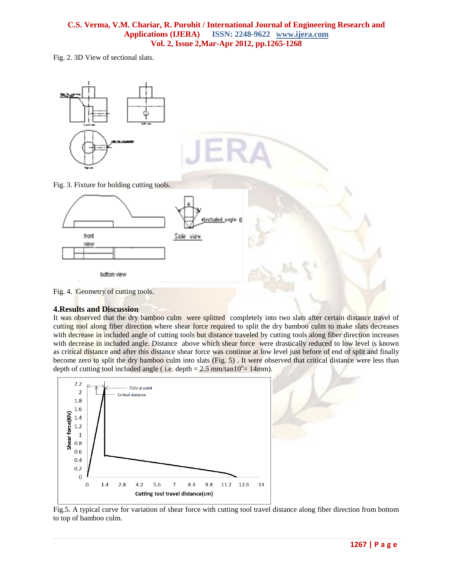# **C.S. Verma, V.M. Chariar, R. Purohit / International Journal of Engineering Research and Applications (IJERA) ISSN: 2248-9622 www.ijera.com Vol. 2, Issue 2,Mar-Apr 2012, pp.1265-1268**

Fig. 2. 3D View of sectional slats.



# **4.Results and Discussion**

It was observed that the dry bamboo culm were splitted completely into two slats after certain distance travel of cutting tool along fiber direction where shear force required to split the dry bamboo culm to make slats decreases with decrease in included angle of cutting tools but distance traveled by cutting tools along fiber direction increases with decrease in included angle. Distance above which shear force were drastically reduced to low level is known as critical distance and after this distance shear force was continue at low level just before of end of split and finally become zero to split the dry bamboo culm into slats (Fig. 5) . It were observed that critical distance were less than depth of cutting tool included angle (i.e. depth =  $2.5 \text{ mm/tan10}^{\circ} = 14 \text{mm}$ ).



Fig.5. A typical curve for variation of shear force with cutting tool travel distance along fiber direction from bottom to top of bamboo culm.